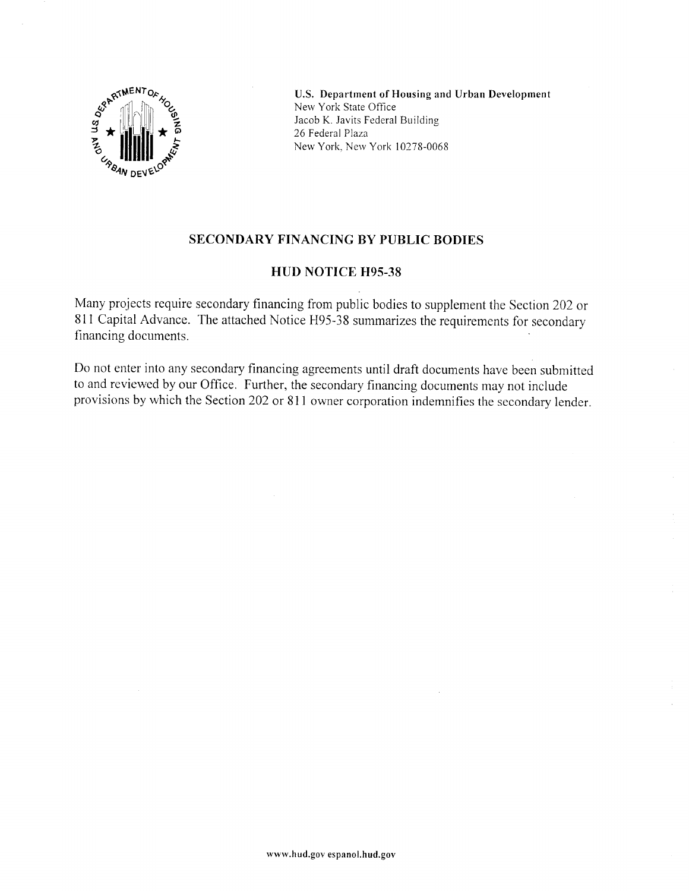

U.S. Department of Housing and Urban Development New York State Office Jacob K. Javits Federal Building 26 Federal Plaza New York, New York 10278-0068

## SECONDARY FINANCING BY PUBLIC BODIES

## HUD NOTICE H95.38

Many projects require secondary financing from public bodies to supplement the Section 202 or 811 Capital Advance. The attached Notice H95-38 summarizes the requirements for secondary financinq documents.

Do not enter into any secondary financing agreements until draft documents have been submitted to and reviewed by our Office. Further, the secondary financing documents may not include provisions by which the Section 202 or 811 owner corporation indemnifies the secondary lender.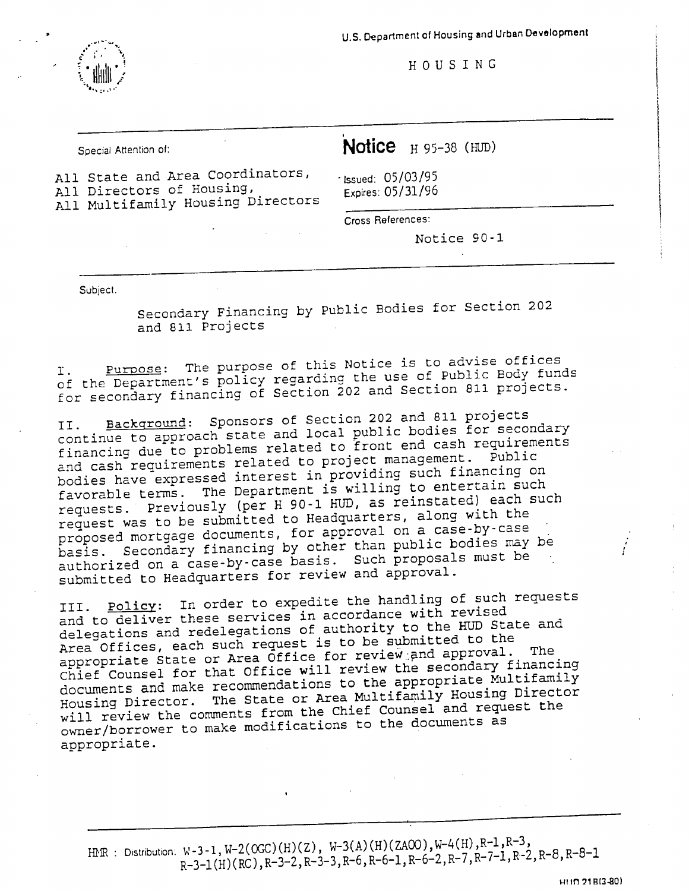

U.S. Department of Housing and Urban Development

HOUSING

Special Attention of:

Notice  $H$  95-38 (HUD)

All State and Area Coordinators, All Directors of Housing, All Multifamily Housing Directors

 $\cdot$  Issued: 05/03/95 Expires: 05/31/96

Cross References:

Notice 90-1

Subject.

Secondary Financing by Public Bodies for Section 202 and 811 Projects

Purpose: The purpose of this Notice is to advise offices of the Department's policy regarding the use of Public Body funds for secondary financing of Section 202 and Section 811 projects.

Background: Sponsors of Section 202 and 811 projects continue to approach state and local public bodies for secondary financing due to problems related to front end cash requirements and cash requirements related to project management. Public bodies have expressed interest in providing such financing on favorable terms. The Department is willing to entertain such requests. Previously (per H 90-1 HUD, as reinstated) each such request was to be submitted to Headquarters, along with the proposed mortgage documents, for approval on a case-by-case basis. Secondary financing by other than public bodies may be authorized on a case-by-case basis. Such proposals must be submitted to Headquarters for review and approval.

Policy: In order to expedite the handling of such requests III. and to deliver these services in accordance with revised delegations and redelegations of authority to the HUD State and Area Offices, each such request is to be submitted to the appropriate State or Area Office for review and approval. The Chief Counsel for that Office will review the secondary financing documents and make recommendations to the appropriate Multifamily Housing Director. The State or Area Multifamily Housing Director will review the comments from the Chief Counsel and request the owner/borrower to make modifications to the documents as appropriate.

HMR : Distribution:  $W-3-1$ ,  $W-2(OC)(H)(Z)$ ,  $W-3(A)(H)(ZAOO)$ ,  $W-4(H)$ ,  $R-1$ ,  $R-3$ ,  $R-3-1(H)(RC), R-3-2, R-3-3, R-6, R-6-1, R-6-2, R-7, R-7-1, R-2, R-8, R-8-1$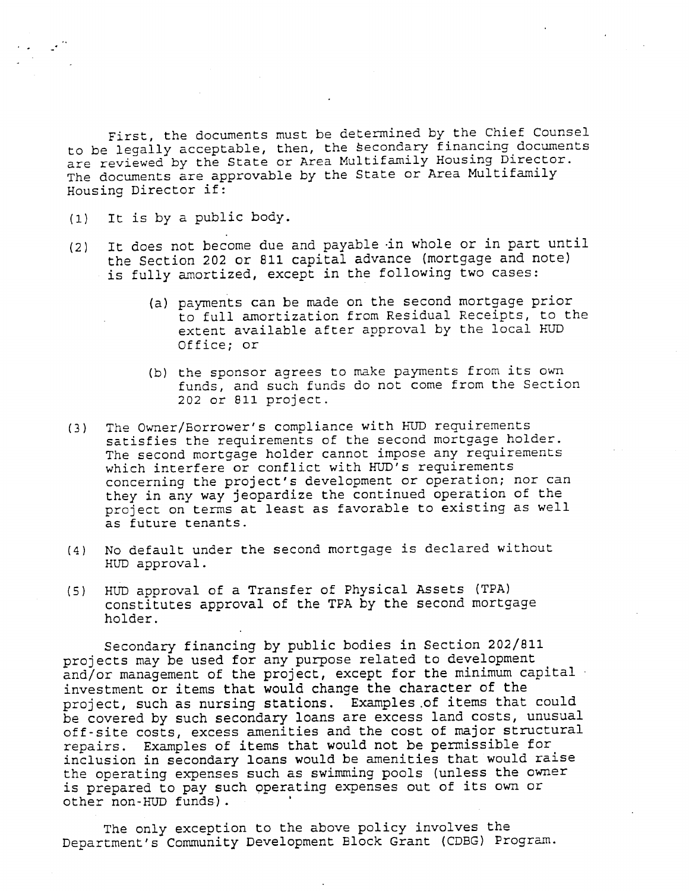First, the documents must be determined by the Chief Counsel to be legally acceptable, then, the secondary financing documents<br>are reviewed by the State or Area Multifamily Housing Director. The documents are approvable by the State or Area Multifamily Housing Director if:

- It is by a public body.  $(1)$
- It does not become due and payable in whole or in part until  $(2)$ the Section 202 or 811 capital advance (mortgage and note) is fully amortized, except in the following two cases:
	- (a) payments can be made on the second mortgage prior to full amortization from Residual Receipts, to the extent available after approval by the local HUD Office; or
	- (b) the sponsor agrees to make payments from its own funds, and such funds do not come from the Section 202 or 811 project.
- (3) The Owner/Borrower's compliance with HUD requirements satisfies the requirements of the second mortgage holder. The second mortgage holder cannot impose any requirements which interfere or conflict with HUD's requirements concerning the project's development or operation; nor can they in any way jeopardize the continued operation of the project on terms at least as favorable to existing as well as future tenants.
- No default under the second mortgage is declared without  $(4)$ HUD approval.
- HUD approval of a Transfer of Physical Assets (TPA)  $(5)$ constitutes approval of the TPA by the second mortgage holder.

Secondary financing by public bodies in Section 202/811 projects may be used for any purpose related to development and/or management of the project, except for the minimum capital investment or items that would change the character of the project, such as nursing stations. Examples of items that could be covered by such secondary loans are excess land costs, unusual off-site costs, excess amenities and the cost of major structural repairs. Examples of items that would not be permissible for inclusion in secondary loans would be amenities that would raise the operating expenses such as swimming pools (unless the owner is prepared to pay such operating expenses out of its own or other non-HUD funds).

The only exception to the above policy involves the Department's Community Development Block Grant (CDBG) Program.